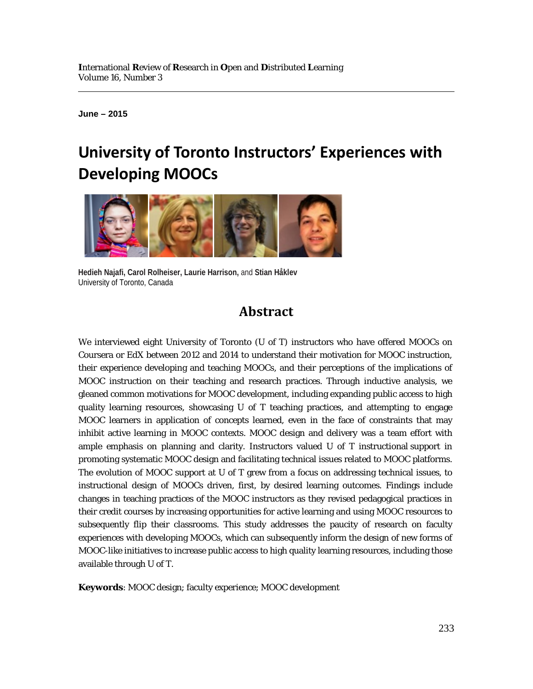**June – 2015**

# **University of Toronto Instructors' Experiences with Developing MOOCs**



**Hedieh Najafi, Carol Rolheiser, Laurie Harrison,** and **Stian Håklev** University of Toronto, Canada

## **Abstract**

We interviewed eight University of Toronto (U of T) instructors who have offered MOOCs on Coursera or EdX between 2012 and 2014 to understand their motivation for MOOC instruction, their experience developing and teaching MOOCs, and their perceptions of the implications of MOOC instruction on their teaching and research practices. Through inductive analysis, we gleaned common motivations for MOOC development, including expanding public access to high quality learning resources, showcasing U of T teaching practices, and attempting to engage MOOC learners in application of concepts learned, even in the face of constraints that may inhibit active learning in MOOC contexts. MOOC design and delivery was a team effort with ample emphasis on planning and clarity. Instructors valued U of T instructional support in promoting systematic MOOC design and facilitating technical issues related to MOOC platforms. The evolution of MOOC support at U of T grew from a focus on addressing technical issues, to instructional design of MOOCs driven, first, by desired learning outcomes. Findings include changes in teaching practices of the MOOC instructors as they revised pedagogical practices in their credit courses by increasing opportunities for active learning and using MOOC resources to subsequently flip their classrooms. This study addresses the paucity of research on faculty experiences with developing MOOCs, which can subsequently inform the design of new forms of MOOC-like initiatives to increase public access to high quality learning resources, including those available through U of T.

**Keywords**: MOOC design; faculty experience; MOOC development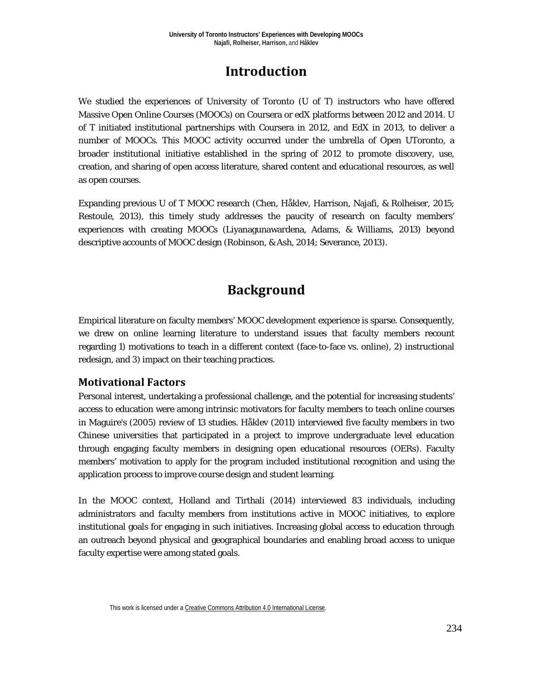## **Introduction**

We studied the experiences of University of Toronto (U of T) instructors who have offered Massive Open Online Courses (MOOCs) on Coursera or edX platforms between 2012 and 2014. U of T initiated institutional partnerships with Coursera in 2012, and EdX in 2013, to deliver a number of MOOCs. This MOOC activity occurred under the umbrella of Open UToronto, a broader institutional initiative established in the spring of 2012 to promote discovery, use, creation, and sharing of open access literature, shared content and educational resources, as well as open courses.

Expanding previous U of T MOOC research (Chen, Håklev, Harrison, Najafi, & Rolheiser, 2015; Restoule, 2013), this timely study addresses the paucity of research on faculty members' experiences with creating MOOCs (Liyanagunawardena, Adams, & Williams, 2013) beyond descriptive accounts of MOOC design (Robinson, & Ash, 2014; Severance, 2013).

## **Background**

Empirical literature on faculty members' MOOC development experience is sparse. Consequently, we drew on online learning literature to understand issues that faculty members recount regarding 1) motivations to teach in a different context (face-to-face vs. online), 2) instructional redesign, and 3) impact on their teaching practices.

## **Motivational Factors**

Personal interest, undertaking a professional challenge, and the potential for increasing students' access to education were among intrinsic motivators for faculty members to teach online courses in Maguire's (2005) review of 13 studies. Håklev (2011) interviewed five faculty members in two Chinese universities that participated in a project to improve undergraduate level education through engaging faculty members in designing open educational resources (OERs). Faculty members' motivation to apply for the program included institutional recognition and using the application process to improve course design and student learning.

In the MOOC context, Holland and Tirthali (2014) interviewed 83 individuals, including administrators and faculty members from institutions active in MOOC initiatives, to explore institutional goals for engaging in such initiatives. Increasing global access to education through an outreach beyond physical and geographical boundaries and enabling broad access to unique faculty expertise were among stated goals.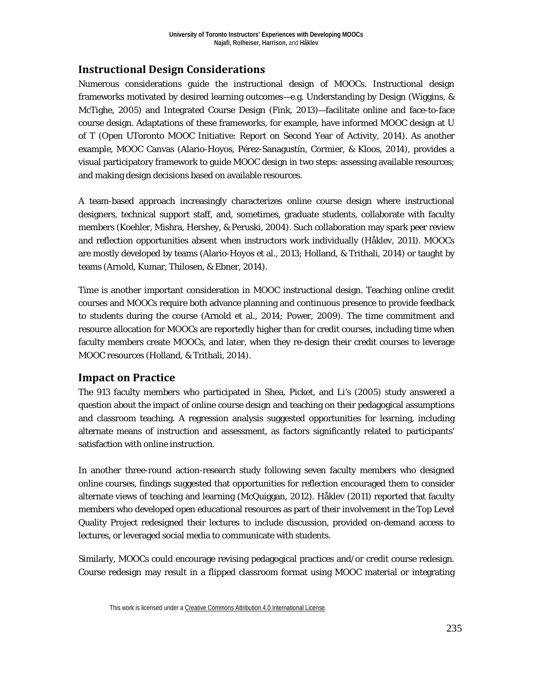## **Instructional Design Considerations**

Numerous considerations guide the instructional design of MOOCs. Instructional design frameworks motivated by desired learning outcomes—e.g. Understanding by Design (Wiggins, & McTighe, 2005) and Integrated Course Design (Fink, 2013)—facilitate online and face-to-face course design. Adaptations of these frameworks, for example, have informed MOOC design at U of T (Open UToronto MOOC Initiative: Report on Second Year of Activity, 2014). As another example, MOOC Canvas (Alario-Hoyos, Pérez-Sanagustín, Cormier, & Kloos, 2014), provides a visual participatory framework to guide MOOC design in two steps: assessing available resources; and making design decisions based on available resources.

A team-based approach increasingly characterizes online course design where instructional designers, technical support staff, and, sometimes, graduate students, collaborate with faculty members (Koehler, Mishra, Hershey, & Peruski, 2004). Such collaboration may spark peer review and reflection opportunities absent when instructors work individually (Håklev, 2011). MOOCs are mostly developed by teams (Alario-Hoyos et al., 2013; Holland, & Trithali, 2014) or taught by teams (Arnold, Kumar, Thilosen, & Ebner, 2014).

Time is another important consideration in MOOC instructional design. Teaching online credit courses and MOOCs require both advance planning and continuous presence to provide feedback to students during the course (Arnold et al., 2014; Power, 2009). The time commitment and resource allocation for MOOCs are reportedly higher than for credit courses, including time when faculty members create MOOCs, and later, when they re-design their credit courses to leverage MOOC resources (Holland, & Trithali, 2014).

### **Impact on Practice**

The 913 faculty members who participated in Shea, Picket, and Li's (2005) study answered a question about the impact of online course design and teaching on their pedagogical assumptions and classroom teaching. A regression analysis suggested opportunities for learning, including alternate means of instruction and assessment, as factors significantly related to participants' satisfaction with online instruction.

In another three-round action-research study following seven faculty members who designed online courses, findings suggested that opportunities for reflection encouraged them to consider alternate views of teaching and learning (McQuiggan, 2012). Håklev (2011) reported that faculty members who developed open educational resources as part of their involvement in the Top Level Quality Project redesigned their lectures to include discussion, provided on-demand access to lectures, or leveraged social media to communicate with students.

Similarly, MOOCs could encourage revising pedagogical practices and/or credit course redesign. Course redesign may result in a flipped classroom format using MOOC material or integrating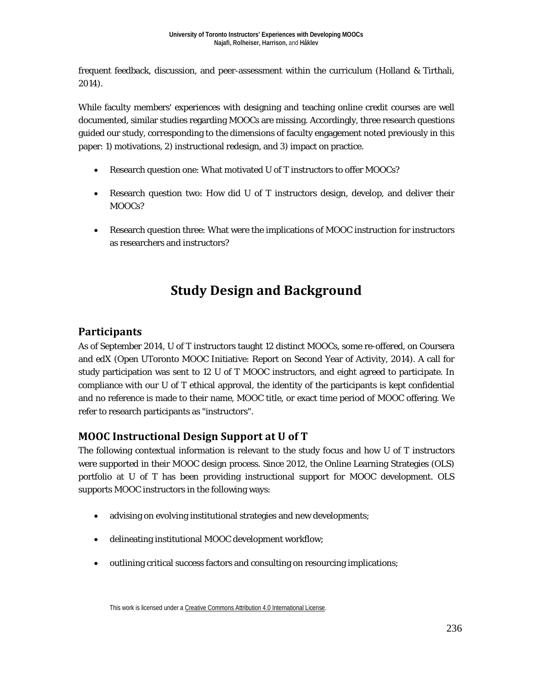frequent feedback, discussion, and peer-assessment within the curriculum (Holland & Tirthali, 2014).

While faculty members' experiences with designing and teaching online credit courses are well documented, similar studies regarding MOOCs are missing. Accordingly, three research questions guided our study, corresponding to the dimensions of faculty engagement noted previously in this paper: 1) motivations, 2) instructional redesign, and 3) impact on practice.

- Research question one: What motivated U of T instructors to offer MOOCs?
- Research question two: How did U of T instructors design, develop, and deliver their MOOCs?
- Research question three: What were the implications of MOOC instruction for instructors as researchers and instructors?

## **Study Design and Background**

### **Participants**

As of September 2014, U of T instructors taught 12 distinct MOOCs, some re-offered, on Coursera and edX (Open UToronto MOOC Initiative: Report on Second Year of Activity, 2014). A call for study participation was sent to 12 U of T MOOC instructors, and eight agreed to participate. In compliance with our U of T ethical approval, the identity of the participants is kept confidential and no reference is made to their name, MOOC title, or exact time period of MOOC offering. We refer to research participants as "instructors".

## **MOOC Instructional Design Support at U of T**

The following contextual information is relevant to the study focus and how U of T instructors were supported in their MOOC design process. Since 2012, the Online Learning Strategies (OLS) portfolio at U of T has been providing instructional support for MOOC development. OLS supports MOOC instructors in the following ways:

- advising on evolving institutional strategies and new developments;
- delineating institutional MOOC development workflow;
- outlining critical success factors and consulting on resourcing implications;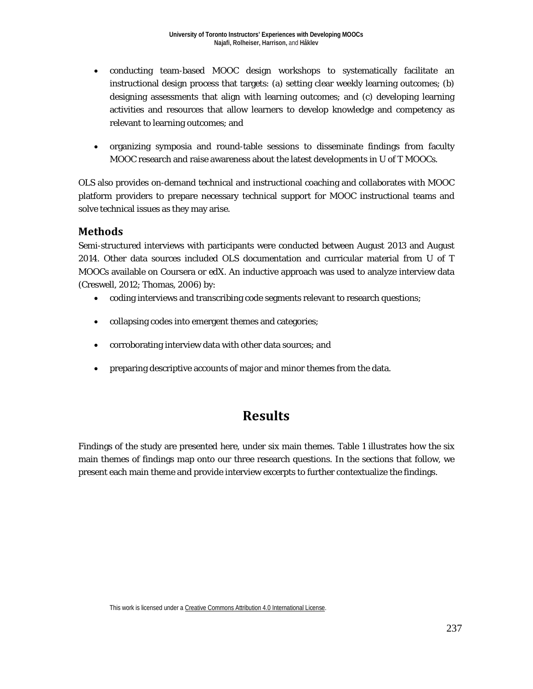- conducting team-based MOOC design workshops to systematically facilitate an instructional design process that targets: (a) setting clear weekly learning outcomes; (b) designing assessments that align with learning outcomes; and (c) developing learning activities and resources that allow learners to develop knowledge and competency as relevant to learning outcomes; and
- organizing symposia and round-table sessions to disseminate findings from faculty MOOC research and raise awareness about the latest developments in U of T MOOCs.

OLS also provides on-demand technical and instructional coaching and collaborates with MOOC platform providers to prepare necessary technical support for MOOC instructional teams and solve technical issues as they may arise.

### **Methods**

Semi-structured interviews with participants were conducted between August 2013 and August 2014. Other data sources included OLS documentation and curricular material from U of T MOOCs available on Coursera or edX. An inductive approach was used to analyze interview data (Creswell, 2012; Thomas, 2006) by:

- coding interviews and transcribing code segments relevant to research questions;
- collapsing codes into emergent themes and categories;
- corroborating interview data with other data sources; and
- preparing descriptive accounts of major and minor themes from the data.

## **Results**

Findings of the study are presented here, under six main themes. Table 1 illustrates how the six main themes of findings map onto our three research questions. In the sections that follow, we present each main theme and provide interview excerpts to further contextualize the findings.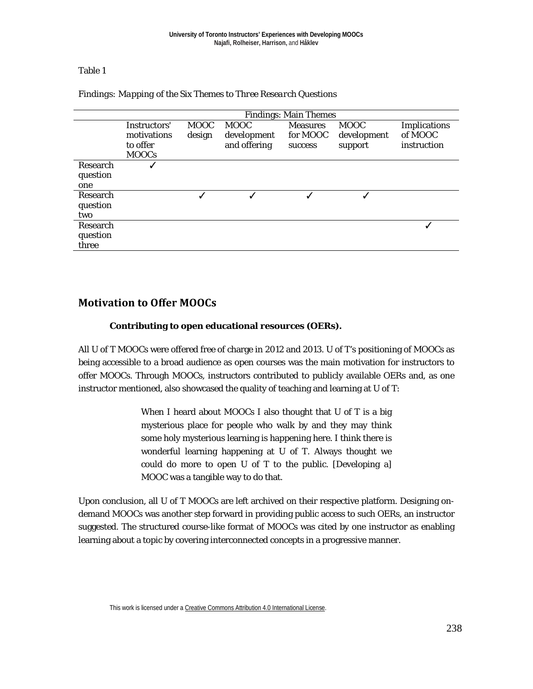#### Table 1

|                               | <b>Findings: Main Themes</b>                            |                       |                                            |                                        |                                       |                                        |
|-------------------------------|---------------------------------------------------------|-----------------------|--------------------------------------------|----------------------------------------|---------------------------------------|----------------------------------------|
|                               | Instructors'<br>motivations<br>to offer<br><b>MOOCs</b> | <b>MOOC</b><br>design | <b>MOOC</b><br>development<br>and offering | <b>Measures</b><br>for MOOC<br>success | <b>MOOC</b><br>development<br>support | Implications<br>of MOOC<br>instruction |
| Research<br>question<br>one   |                                                         |                       |                                            |                                        |                                       |                                        |
| Research<br>question<br>two   |                                                         |                       |                                            |                                        |                                       |                                        |
| Research<br>question<br>three |                                                         |                       |                                            |                                        |                                       |                                        |

*Findings: Mapping of the Six Themes to Three Research Questions*

## **Motivation to Offer MOOCs**

#### **Contributing to open educational resources (OERs).**

All U of T MOOCs were offered free of charge in 2012 and 2013. U of T's positioning of MOOCs as being accessible to a broad audience as open courses was the main motivation for instructors to offer MOOCs. Through MOOCs, instructors contributed to publicly available OERs and, as one instructor mentioned, also showcased the quality of teaching and learning at U of T:

> When I heard about MOOCs I also thought that U of T is a big mysterious place for people who walk by and they may think some holy mysterious learning is happening here. I think there is wonderful learning happening at U of T. Always thought we could do more to open U of T to the public. [Developing a] MOOC was a tangible way to do that.

Upon conclusion, all U of T MOOCs are left archived on their respective platform. Designing ondemand MOOCs was another step forward in providing public access to such OERs, an instructor suggested. The structured course-like format of MOOCs was cited by one instructor as enabling learning about a topic by covering interconnected concepts in a progressive manner.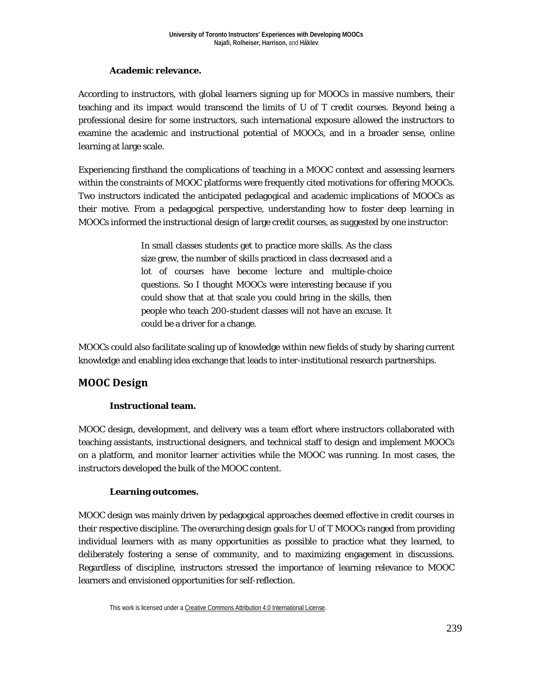#### **Academic relevance.**

According to instructors, with global learners signing up for MOOCs in massive numbers, their teaching and its impact would transcend the limits of U of T credit courses. Beyond being a professional desire for some instructors, such international exposure allowed the instructors to examine the academic and instructional potential of MOOCs, and in a broader sense, online learning at large scale.

Experiencing firsthand the complications of teaching in a MOOC context and assessing learners within the constraints of MOOC platforms were frequently cited motivations for offering MOOCs. Two instructors indicated the anticipated pedagogical and academic implications of MOOCs as their motive. From a pedagogical perspective, understanding how to foster deep learning in MOOCs informed the instructional design of large credit courses, as suggested by one instructor:

> In small classes students get to practice more skills. As the class size grew, the number of skills practiced in class decreased and a lot of courses have become lecture and multiple-choice questions. So I thought MOOCs were interesting because if you could show that at that scale you could bring in the skills, then people who teach 200-student classes will not have an excuse. It could be a driver for a change.

MOOCs could also facilitate scaling up of knowledge within new fields of study by sharing current knowledge and enabling idea exchange that leads to inter-institutional research partnerships.

### **MOOC Design**

#### **Instructional team.**

MOOC design, development, and delivery was a team effort where instructors collaborated with teaching assistants, instructional designers, and technical staff to design and implement MOOCs on a platform, and monitor learner activities while the MOOC was running. In most cases, the instructors developed the bulk of the MOOC content.

#### **Learning outcomes.**

MOOC design was mainly driven by pedagogical approaches deemed effective in credit courses in their respective discipline. The overarching design goals for U of T MOOCs ranged from providing individual learners with as many opportunities as possible to practice what they learned, to deliberately fostering a sense of community, and to maximizing engagement in discussions. Regardless of discipline, instructors stressed the importance of learning relevance to MOOC learners and envisioned opportunities for self-reflection.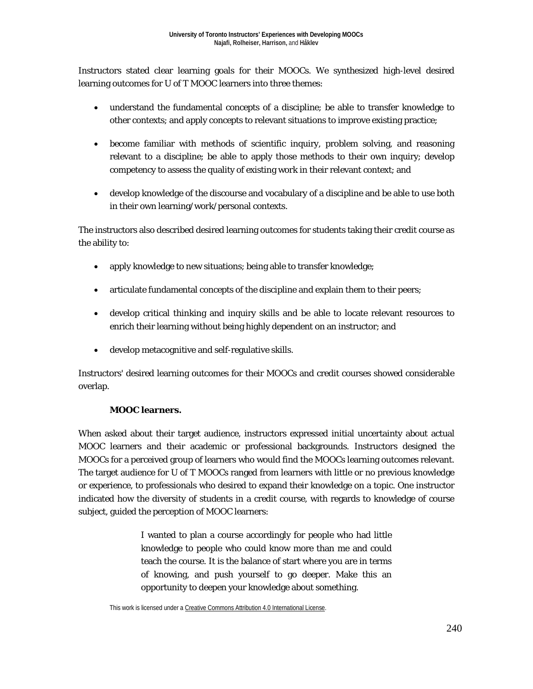Instructors stated clear learning goals for their MOOCs. We synthesized high-level desired learning outcomes for U of T MOOC learners into three themes:

- understand the fundamental concepts of a discipline; be able to transfer knowledge to other contexts; and apply concepts to relevant situations to improve existing practice;
- become familiar with methods of scientific inquiry, problem solving, and reasoning relevant to a discipline; be able to apply those methods to their own inquiry; develop competency to assess the quality of existing work in their relevant context; and
- develop knowledge of the discourse and vocabulary of a discipline and be able to use both in their own learning/work/personal contexts.

The instructors also described desired learning outcomes for students taking their credit course as the ability to:

- apply knowledge to new situations; being able to transfer knowledge;
- articulate fundamental concepts of the discipline and explain them to their peers;
- develop critical thinking and inquiry skills and be able to locate relevant resources to enrich their learning without being highly dependent on an instructor; and
- develop metacognitive and self-regulative skills.

Instructors' desired learning outcomes for their MOOCs and credit courses showed considerable overlap.

#### **MOOC learners.**

When asked about their target audience, instructors expressed initial uncertainty about actual MOOC learners and their academic or professional backgrounds. Instructors designed the MOOCs for a perceived group of learners who would find the MOOCs learning outcomes relevant. The target audience for U of T MOOCs ranged from learners with little or no previous knowledge or experience, to professionals who desired to expand their knowledge on a topic. One instructor indicated how the diversity of students in a credit course, with regards to knowledge of course subject, guided the perception of MOOC learners:

> I wanted to plan a course accordingly for people who had little knowledge to people who could know more than me and could teach the course. It is the balance of start where you are in terms of knowing, and push yourself to go deeper. Make this an opportunity to deepen your knowledge about something.

This work is licensed under [a Creative Commons Attribution 4.0 International License.](http://creativecommons.org/licenses/by/4.0/)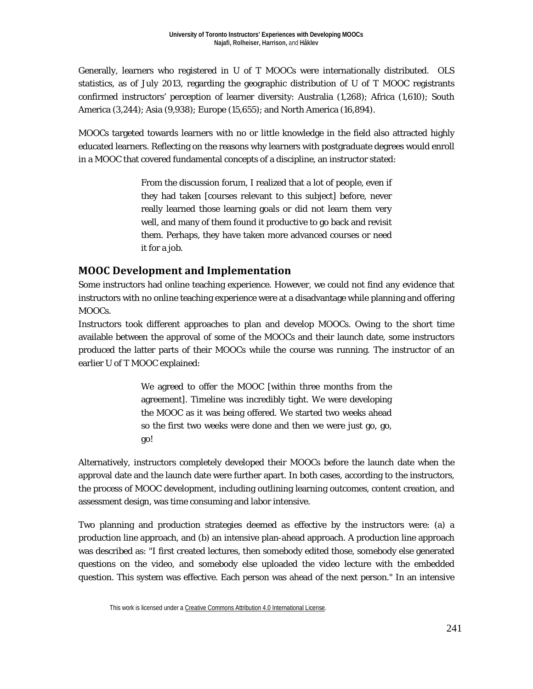Generally, learners who registered in U of T MOOCs were internationally distributed. OLS statistics, as of July 2013, regarding the geographic distribution of U of T MOOC registrants confirmed instructors' perception of learner diversity: Australia (1,268); Africa (1,610); South America (3,244); Asia (9,938); Europe (15,655); and North America (16,894).

MOOCs targeted towards learners with no or little knowledge in the field also attracted highly educated learners. Reflecting on the reasons why learners with postgraduate degrees would enroll in a MOOC that covered fundamental concepts of a discipline, an instructor stated:

> From the discussion forum, I realized that a lot of people, even if they had taken [courses relevant to this subject] before, never really learned those learning goals or did not learn them very well, and many of them found it productive to go back and revisit them. Perhaps, they have taken more advanced courses or need it for a job.

### **MOOC Development and Implementation**

Some instructors had online teaching experience. However, we could not find any evidence that instructors with no online teaching experience were at a disadvantage while planning and offering MOOCs.

Instructors took different approaches to plan and develop MOOCs. Owing to the short time available between the approval of some of the MOOCs and their launch date, some instructors produced the latter parts of their MOOCs while the course was running. The instructor of an earlier U of T MOOC explained:

> We agreed to offer the MOOC [within three months from the agreement]. Timeline was incredibly tight. We were developing the MOOC as it was being offered. We started two weeks ahead so the first two weeks were done and then we were just go, go, go!

Alternatively, instructors completely developed their MOOCs before the launch date when the approval date and the launch date were further apart. In both cases, according to the instructors, the process of MOOC development, including outlining learning outcomes, content creation, and assessment design, was time consuming and labor intensive.

Two planning and production strategies deemed as effective by the instructors were: (a) a production line approach, and (b) an intensive plan-ahead approach. A production line approach was described as: "I first created lectures, then somebody edited those, somebody else generated questions on the video, and somebody else uploaded the video lecture with the embedded question. This system was effective. Each person was ahead of the next person." In an intensive

This work is licensed under [a Creative Commons Attribution 4.0 International License.](http://creativecommons.org/licenses/by/4.0/)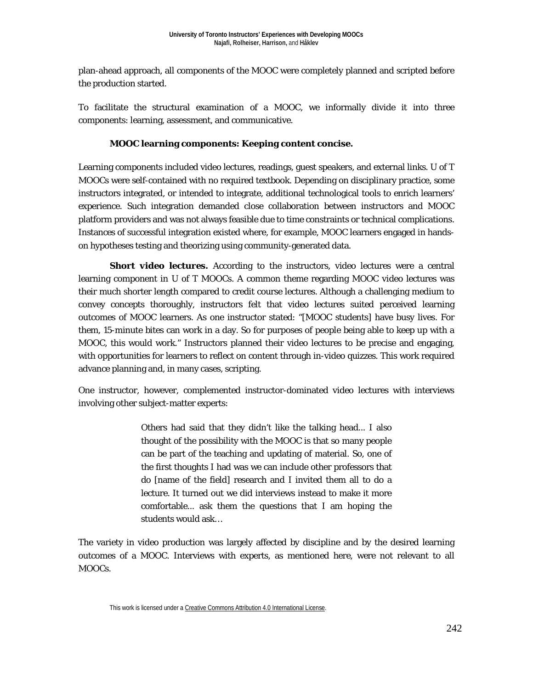plan-ahead approach, all components of the MOOC were completely planned and scripted before the production started.

To facilitate the structural examination of a MOOC, we informally divide it into three components: learning, assessment, and communicative.

#### **MOOC learning components: Keeping content concise.**

Learning components included video lectures, readings, guest speakers, and external links. U of T MOOCs were self-contained with no required textbook. Depending on disciplinary practice, some instructors integrated, or intended to integrate, additional technological tools to enrich learners' experience. Such integration demanded close collaboration between instructors and MOOC platform providers and was not always feasible due to time constraints or technical complications. Instances of successful integration existed where, for example, MOOC learners engaged in handson hypotheses testing and theorizing using community-generated data.

**Short video lectures.** According to the instructors, video lectures were a central learning component in U of T MOOCs. A common theme regarding MOOC video lectures was their much shorter length compared to credit course lectures. Although a challenging medium to convey concepts thoroughly, instructors felt that video lectures suited perceived learning outcomes of MOOC learners. As one instructor stated: "[MOOC students] have busy lives. For them, 15-minute bites can work in a day. So for purposes of people being able to keep up with a MOOC, this would work." Instructors planned their video lectures to be precise and engaging, with opportunities for learners to reflect on content through in-video quizzes. This work required advance planning and, in many cases, scripting.

One instructor, however, complemented instructor-dominated video lectures with interviews involving other subject-matter experts:

> Others had said that they didn't like the talking head... I also thought of the possibility with the MOOC is that so many people can be part of the teaching and updating of material. So, one of the first thoughts I had was we can include other professors that do [name of the field] research and I invited them all to do a lecture. It turned out we did interviews instead to make it more comfortable... ask them the questions that I am hoping the students would ask…

The variety in video production was largely affected by discipline and by the desired learning outcomes of a MOOC. Interviews with experts, as mentioned here, were not relevant to all MOOCs.

This work is licensed under [a Creative Commons Attribution 4.0 International License.](http://creativecommons.org/licenses/by/4.0/)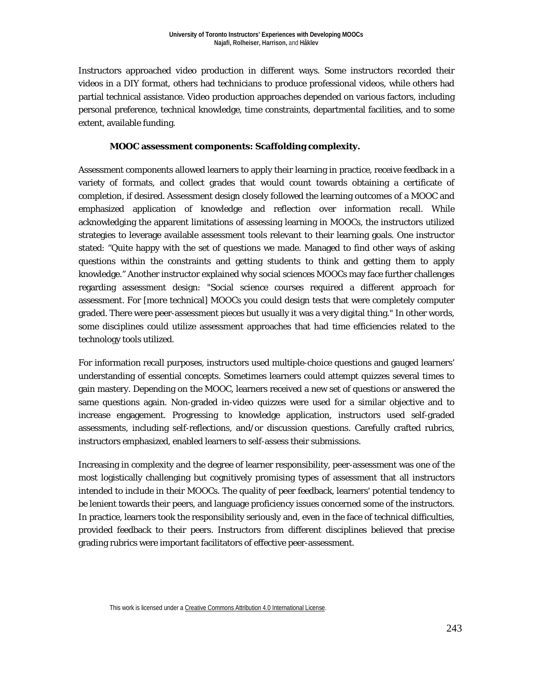Instructors approached video production in different ways. Some instructors recorded their videos in a DIY format, others had technicians to produce professional videos, while others had partial technical assistance. Video production approaches depended on various factors, including personal preference, technical knowledge, time constraints, departmental facilities, and to some extent, available funding.

#### **MOOC assessment components: Scaffolding complexity.**

Assessment components allowed learners to apply their learning in practice, receive feedback in a variety of formats, and collect grades that would count towards obtaining a certificate of completion, if desired. Assessment design closely followed the learning outcomes of a MOOC and emphasized application of knowledge and reflection over information recall. While acknowledging the apparent limitations of assessing learning in MOOCs, the instructors utilized strategies to leverage available assessment tools relevant to their learning goals. One instructor stated: "Quite happy with the set of questions we made. Managed to find other ways of asking questions within the constraints and getting students to think and getting them to apply knowledge." Another instructor explained why social sciences MOOCs may face further challenges regarding assessment design: "Social science courses required a different approach for assessment. For [more technical] MOOCs you could design tests that were completely computer graded. There were peer-assessment pieces but usually it was a very digital thing." In other words, some disciplines could utilize assessment approaches that had time efficiencies related to the technology tools utilized.

For information recall purposes, instructors used multiple-choice questions and gauged learners' understanding of essential concepts. Sometimes learners could attempt quizzes several times to gain mastery. Depending on the MOOC, learners received a new set of questions or answered the same questions again. Non-graded in-video quizzes were used for a similar objective and to increase engagement. Progressing to knowledge application, instructors used self-graded assessments, including self-reflections, and/or discussion questions. Carefully crafted rubrics, instructors emphasized, enabled learners to self-assess their submissions.

Increasing in complexity and the degree of learner responsibility, peer-assessment was one of the most logistically challenging but cognitively promising types of assessment that all instructors intended to include in their MOOCs. The quality of peer feedback, learners' potential tendency to be lenient towards their peers, and language proficiency issues concerned some of the instructors. In practice, learners took the responsibility seriously and, even in the face of technical difficulties, provided feedback to their peers. Instructors from different disciplines believed that precise grading rubrics were important facilitators of effective peer-assessment.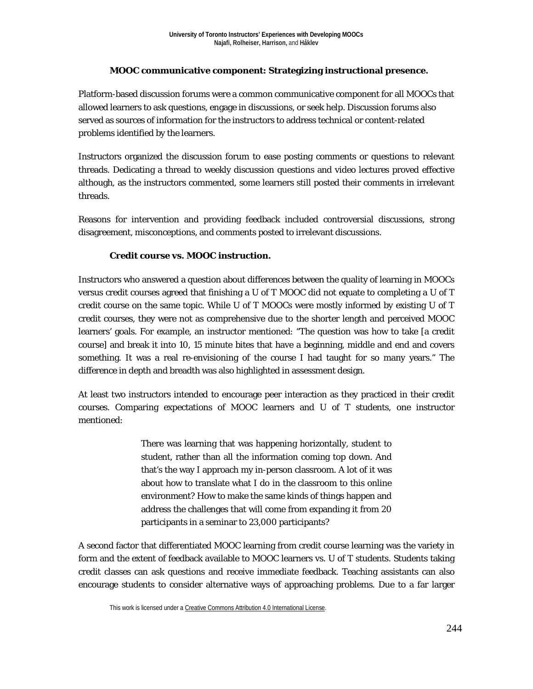#### **MOOC communicative component: Strategizing instructional presence.**

Platform-based discussion forums were a common communicative component for all MOOCs that allowed learners to ask questions, engage in discussions, or seek help. Discussion forums also served as sources of information for the instructors to address technical or content-related problems identified by the learners.

Instructors organized the discussion forum to ease posting comments or questions to relevant threads. Dedicating a thread to weekly discussion questions and video lectures proved effective although, as the instructors commented, some learners still posted their comments in irrelevant threads.

Reasons for intervention and providing feedback included controversial discussions, strong disagreement, misconceptions, and comments posted to irrelevant discussions.

#### **Credit course vs. MOOC instruction.**

Instructors who answered a question about differences between the quality of learning in MOOCs versus credit courses agreed that finishing a U of T MOOC did not equate to completing a U of T credit course on the same topic. While U of T MOOCs were mostly informed by existing U of T credit courses, they were not as comprehensive due to the shorter length and perceived MOOC learners' goals. For example, an instructor mentioned: "The question was how to take [a credit course] and break it into 10, 15 minute bites that have a beginning, middle and end and covers something. It was a real re-envisioning of the course I had taught for so many years." The difference in depth and breadth was also highlighted in assessment design.

At least two instructors intended to encourage peer interaction as they practiced in their credit courses. Comparing expectations of MOOC learners and U of T students, one instructor mentioned:

> There was learning that was happening horizontally, student to student, rather than all the information coming top down. And that's the way I approach my in-person classroom. A lot of it was about how to translate what I do in the classroom to this online environment? How to make the same kinds of things happen and address the challenges that will come from expanding it from 20 participants in a seminar to 23,000 participants?

A second factor that differentiated MOOC learning from credit course learning was the variety in form and the extent of feedback available to MOOC learners vs. U of T students. Students taking credit classes can ask questions and receive immediate feedback. Teaching assistants can also encourage students to consider alternative ways of approaching problems. Due to a far larger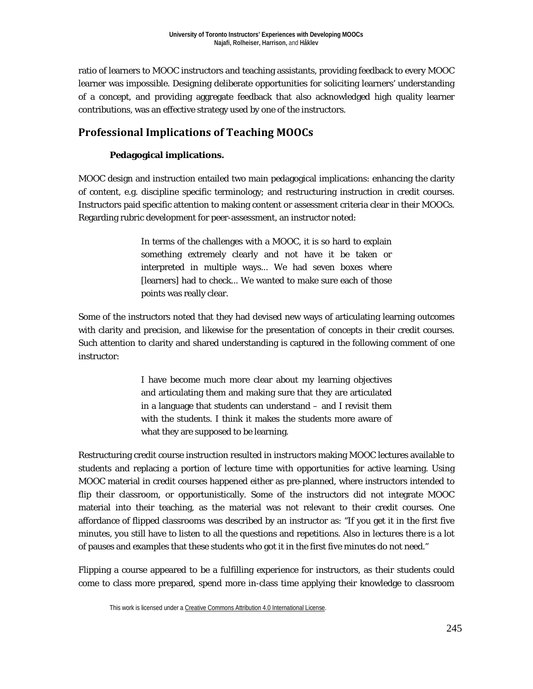ratio of learners to MOOC instructors and teaching assistants, providing feedback to every MOOC learner was impossible. Designing deliberate opportunities for soliciting learners' understanding of a concept, and providing aggregate feedback that also acknowledged high quality learner contributions, was an effective strategy used by one of the instructors.

## **Professional Implications of Teaching MOOCs**

#### **Pedagogical implications.**

MOOC design and instruction entailed two main pedagogical implications: enhancing the clarity of content, e.g. discipline specific terminology; and restructuring instruction in credit courses. Instructors paid specific attention to making content or assessment criteria clear in their MOOCs. Regarding rubric development for peer-assessment, an instructor noted:

> In terms of the challenges with a MOOC, it is so hard to explain something extremely clearly and not have it be taken or interpreted in multiple ways... We had seven boxes where [learners] had to check... We wanted to make sure each of those points was really clear.

Some of the instructors noted that they had devised new ways of articulating learning outcomes with clarity and precision, and likewise for the presentation of concepts in their credit courses. Such attention to clarity and shared understanding is captured in the following comment of one instructor:

> I have become much more clear about my learning objectives and articulating them and making sure that they are articulated in a language that students can understand – and I revisit them with the students. I think it makes the students more aware of what they are supposed to be learning.

Restructuring credit course instruction resulted in instructors making MOOC lectures available to students and replacing a portion of lecture time with opportunities for active learning. Using MOOC material in credit courses happened either as pre-planned, where instructors intended to flip their classroom, or opportunistically. Some of the instructors did not integrate MOOC material into their teaching, as the material was not relevant to their credit courses. One affordance of flipped classrooms was described by an instructor as: "If you get it in the first five minutes, you still have to listen to all the questions and repetitions. Also in lectures there is a lot of pauses and examples that these students who got it in the first five minutes do not need."

Flipping a course appeared to be a fulfilling experience for instructors, as their students could come to class more prepared, spend more in-class time applying their knowledge to classroom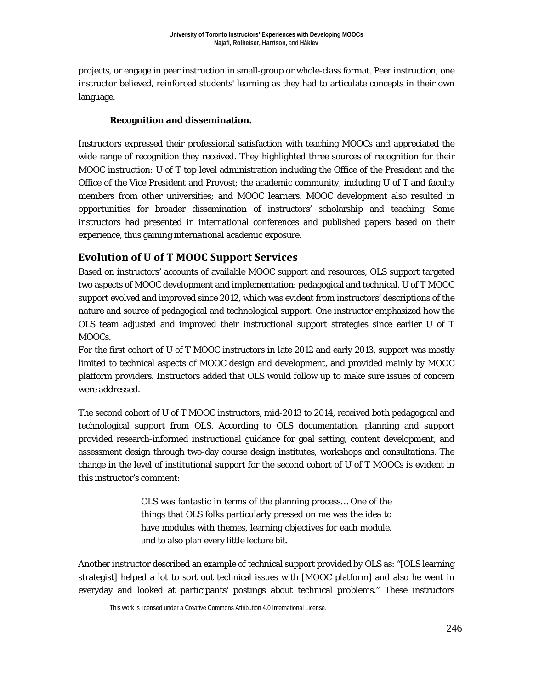projects, or engage in peer instruction in small-group or whole-class format. Peer instruction, one instructor believed, reinforced students' learning as they had to articulate concepts in their own language.

#### **Recognition and dissemination.**

Instructors expressed their professional satisfaction with teaching MOOCs and appreciated the wide range of recognition they received. They highlighted three sources of recognition for their MOOC instruction: U of T top level administration including the Office of the President and the Office of the Vice President and Provost; the academic community, including U of T and faculty members from other universities; and MOOC learners. MOOC development also resulted in opportunities for broader dissemination of instructors' scholarship and teaching. Some instructors had presented in international conferences and published papers based on their experience, thus gaining international academic exposure.

### **Evolution of U of T MOOC Support Services**

Based on instructors' accounts of available MOOC support and resources, OLS support targeted two aspects of MOOC development and implementation: pedagogical and technical. U of T MOOC support evolved and improved since 2012, which was evident from instructors' descriptions of the nature and source of pedagogical and technological support. One instructor emphasized how the OLS team adjusted and improved their instructional support strategies since earlier U of T MOOCs.

For the first cohort of U of T MOOC instructors in late 2012 and early 2013, support was mostly limited to technical aspects of MOOC design and development, and provided mainly by MOOC platform providers. Instructors added that OLS would follow up to make sure issues of concern were addressed.

The second cohort of U of T MOOC instructors, mid-2013 to 2014, received both pedagogical and technological support from OLS. According to OLS documentation, planning and support provided research-informed instructional guidance for goal setting, content development, and assessment design through two-day course design institutes, workshops and consultations. The change in the level of institutional support for the second cohort of U of T MOOCs is evident in this instructor's comment:

> OLS was fantastic in terms of the planning process… One of the things that OLS folks particularly pressed on me was the idea to have modules with themes, learning objectives for each module, and to also plan every little lecture bit.

Another instructor described an example of technical support provided by OLS as: "[OLS learning strategist] helped a lot to sort out technical issues with [MOOC platform] and also he went in everyday and looked at participants' postings about technical problems." These instructors

This work is licensed under [a Creative Commons Attribution 4.0 International License.](http://creativecommons.org/licenses/by/4.0/)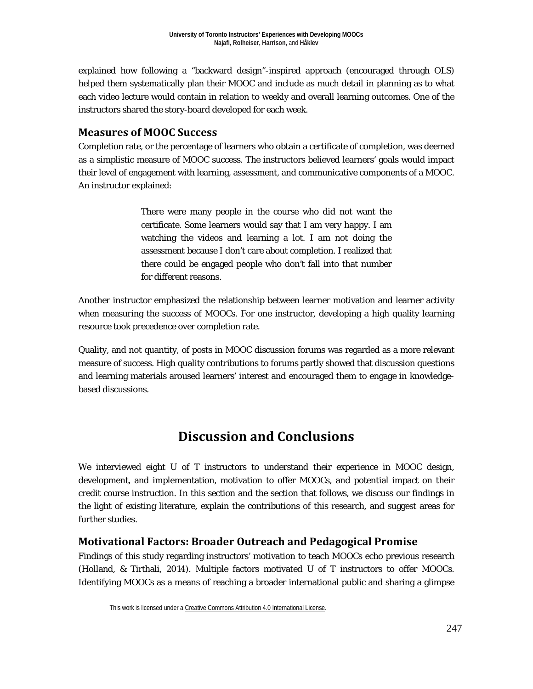explained how following a "backward design"-inspired approach (encouraged through OLS) helped them systematically plan their MOOC and include as much detail in planning as to what each video lecture would contain in relation to weekly and overall learning outcomes. One of the instructors shared the story-board developed for each week.

### **Measures of MOOC Success**

Completion rate, or the percentage of learners who obtain a certificate of completion, was deemed as a simplistic measure of MOOC success. The instructors believed learners' goals would impact their level of engagement with learning, assessment, and communicative components of a MOOC. An instructor explained:

> There were many people in the course who did not want the certificate. Some learners would say that I am very happy. I am watching the videos and learning a lot. I am not doing the assessment because I don't care about completion. I realized that there could be engaged people who don't fall into that number for different reasons.

Another instructor emphasized the relationship between learner motivation and learner activity when measuring the success of MOOCs. For one instructor, developing a high quality learning resource took precedence over completion rate.

Quality, and not quantity, of posts in MOOC discussion forums was regarded as a more relevant measure of success. High quality contributions to forums partly showed that discussion questions and learning materials aroused learners' interest and encouraged them to engage in knowledgebased discussions.

## **Discussion and Conclusions**

We interviewed eight U of T instructors to understand their experience in MOOC design, development, and implementation, motivation to offer MOOCs, and potential impact on their credit course instruction. In this section and the section that follows, we discuss our findings in the light of existing literature, explain the contributions of this research, and suggest areas for further studies.

## **Motivational Factors: Broader Outreach and Pedagogical Promise**

Findings of this study regarding instructors' motivation to teach MOOCs echo previous research (Holland, & Tirthali, 2014). Multiple factors motivated U of T instructors to offer MOOCs. Identifying MOOCs as a means of reaching a broader international public and sharing a glimpse

This work is licensed under [a Creative Commons Attribution 4.0 International License.](http://creativecommons.org/licenses/by/4.0/)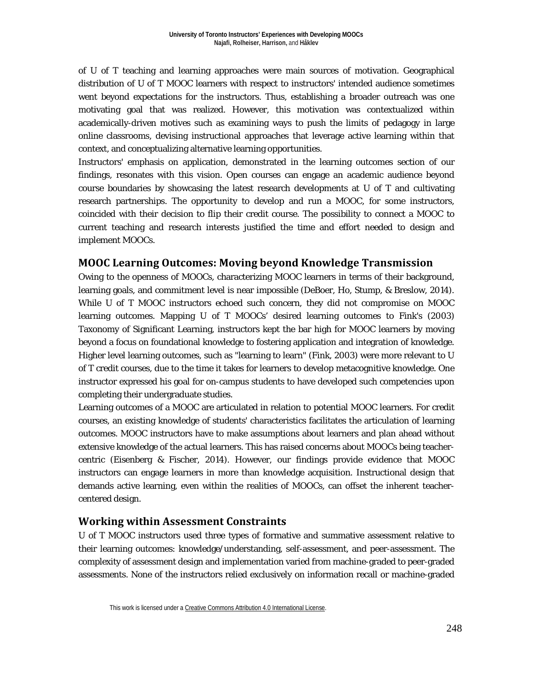of U of T teaching and learning approaches were main sources of motivation. Geographical distribution of U of T MOOC learners with respect to instructors' intended audience sometimes went beyond expectations for the instructors. Thus, establishing a broader outreach was one motivating goal that was realized. However, this motivation was contextualized within academically-driven motives such as examining ways to push the limits of pedagogy in large online classrooms, devising instructional approaches that leverage active learning within that context, and conceptualizing alternative learning opportunities.

Instructors' emphasis on application, demonstrated in the learning outcomes section of our findings, resonates with this vision. Open courses can engage an academic audience beyond course boundaries by showcasing the latest research developments at U of T and cultivating research partnerships. The opportunity to develop and run a MOOC, for some instructors, coincided with their decision to flip their credit course. The possibility to connect a MOOC to current teaching and research interests justified the time and effort needed to design and implement MOOCs.

### **MOOC Learning Outcomes: Moving beyond Knowledge Transmission**

Owing to the openness of MOOCs, characterizing MOOC learners in terms of their background, learning goals, and commitment level is near impossible (DeBoer, Ho, Stump, & Breslow, 2014). While U of T MOOC instructors echoed such concern, they did not compromise on MOOC learning outcomes. Mapping U of T MOOCs' desired learning outcomes to Fink's (2003) Taxonomy of Significant Learning, instructors kept the bar high for MOOC learners by moving beyond a focus on foundational knowledge to fostering application and integration of knowledge. Higher level learning outcomes, such as "learning to learn" (Fink, 2003) were more relevant to U of T credit courses, due to the time it takes for learners to develop metacognitive knowledge. One instructor expressed his goal for on-campus students to have developed such competencies upon completing their undergraduate studies.

Learning outcomes of a MOOC are articulated in relation to potential MOOC learners. For credit courses, an existing knowledge of students' characteristics facilitates the articulation of learning outcomes. MOOC instructors have to make assumptions about learners and plan ahead without extensive knowledge of the actual learners. This has raised concerns about MOOCs being teachercentric (Eisenberg & Fischer, 2014). However, our findings provide evidence that MOOC instructors can engage learners in more than knowledge acquisition. Instructional design that demands active learning, even within the realities of MOOCs, can offset the inherent teachercentered design.

## **Working within Assessment Constraints**

U of T MOOC instructors used three types of formative and summative assessment relative to their learning outcomes: knowledge/understanding, self-assessment, and peer-assessment. The complexity of assessment design and implementation varied from machine-graded to peer-graded assessments. None of the instructors relied exclusively on information recall or machine-graded

This work is licensed under [a Creative Commons Attribution 4.0 International License.](http://creativecommons.org/licenses/by/4.0/)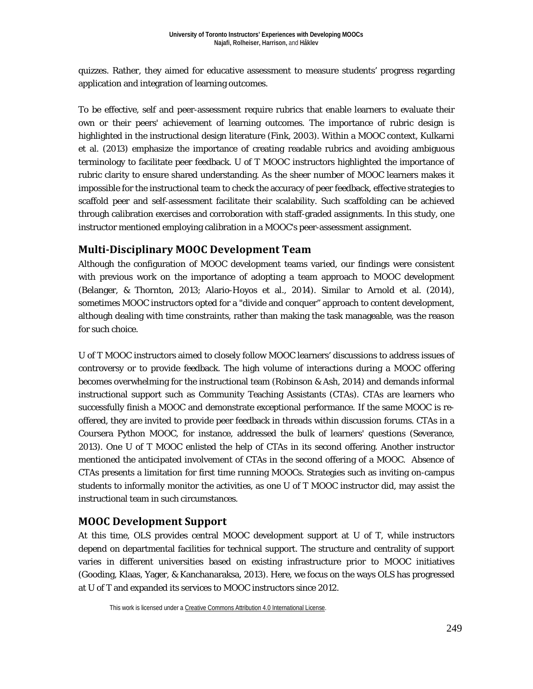quizzes. Rather, they aimed for educative assessment to measure students' progress regarding application and integration of learning outcomes.

To be effective, self and peer-assessment require rubrics that enable learners to evaluate their own or their peers' achievement of learning outcomes. The importance of rubric design is highlighted in the instructional design literature (Fink, 2003). Within a MOOC context, Kulkarni et al. (2013) emphasize the importance of creating readable rubrics and avoiding ambiguous terminology to facilitate peer feedback. U of T MOOC instructors highlighted the importance of rubric clarity to ensure shared understanding. As the sheer number of MOOC learners makes it impossible for the instructional team to check the accuracy of peer feedback, effective strategies to scaffold peer and self-assessment facilitate their scalability. Such scaffolding can be achieved through calibration exercises and corroboration with staff-graded assignments. In this study, one instructor mentioned employing calibration in a MOOC's peer-assessment assignment.

### **Multi-Disciplinary MOOC Development Team**

Although the configuration of MOOC development teams varied, our findings were consistent with previous work on the importance of adopting a team approach to MOOC development (Belanger, & Thornton, 2013; Alario-Hoyos et al., 2014). Similar to Arnold et al. (2014), sometimes MOOC instructors opted for a "divide and conquer" approach to content development, although dealing with time constraints, rather than making the task manageable, was the reason for such choice.

U of T MOOC instructors aimed to closely follow MOOC learners' discussions to address issues of controversy or to provide feedback. The high volume of interactions during a MOOC offering becomes overwhelming for the instructional team (Robinson & Ash, 2014) and demands informal instructional support such as Community Teaching Assistants (CTAs). CTAs are learners who successfully finish a MOOC and demonstrate exceptional performance. If the same MOOC is reoffered, they are invited to provide peer feedback in threads within discussion forums. CTAs in a Coursera Python MOOC, for instance, addressed the bulk of learners' questions (Severance, 2013). One U of T MOOC enlisted the help of CTAs in its second offering. Another instructor mentioned the anticipated involvement of CTAs in the second offering of a MOOC. Absence of CTAs presents a limitation for first time running MOOCs. Strategies such as inviting on-campus students to informally monitor the activities, as one U of T MOOC instructor did, may assist the instructional team in such circumstances.

## **MOOC Development Support**

At this time, OLS provides central MOOC development support at U of T, while instructors depend on departmental facilities for technical support. The structure and centrality of support varies in different universities based on existing infrastructure prior to MOOC initiatives (Gooding, Klaas, Yager, & Kanchanaraksa, 2013). Here, we focus on the ways OLS has progressed at U of T and expanded its services to MOOC instructors since 2012.

This work is licensed under [a Creative Commons Attribution 4.0 International License.](http://creativecommons.org/licenses/by/4.0/)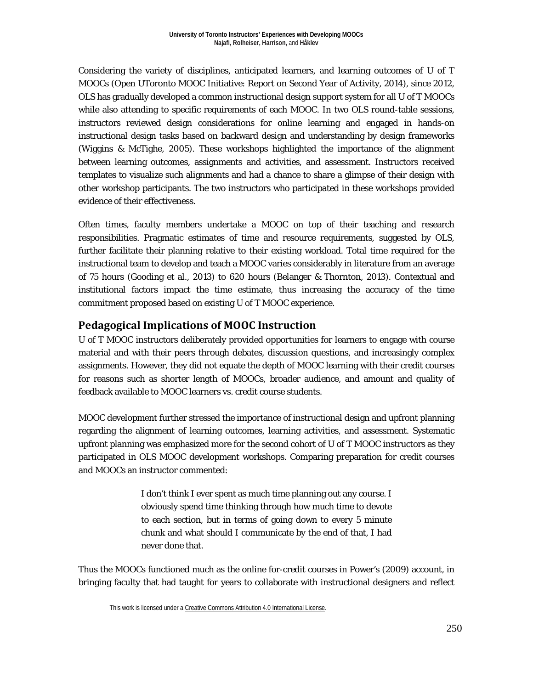Considering the variety of disciplines, anticipated learners, and learning outcomes of U of T MOOCs (Open UToronto MOOC Initiative: Report on Second Year of Activity, 2014), since 2012, OLS has gradually developed a common instructional design support system for all U of T MOOCs while also attending to specific requirements of each MOOC. In two OLS round-table sessions, instructors reviewed design considerations for online learning and engaged in hands-on instructional design tasks based on backward design and understanding by design frameworks (Wiggins & McTighe, 2005). These workshops highlighted the importance of the alignment between learning outcomes, assignments and activities, and assessment. Instructors received templates to visualize such alignments and had a chance to share a glimpse of their design with other workshop participants. The two instructors who participated in these workshops provided evidence of their effectiveness.

Often times, faculty members undertake a MOOC on top of their teaching and research responsibilities. Pragmatic estimates of time and resource requirements, suggested by OLS, further facilitate their planning relative to their existing workload. Total time required for the instructional team to develop and teach a MOOC varies considerably in literature from an average of 75 hours (Gooding et al., 2013) to 620 hours (Belanger & Thornton, 2013). Contextual and institutional factors impact the time estimate, thus increasing the accuracy of the time commitment proposed based on existing U of T MOOC experience.

## **Pedagogical Implications of MOOC Instruction**

U of T MOOC instructors deliberately provided opportunities for learners to engage with course material and with their peers through debates, discussion questions, and increasingly complex assignments. However, they did not equate the depth of MOOC learning with their credit courses for reasons such as shorter length of MOOCs, broader audience, and amount and quality of feedback available to MOOC learners vs. credit course students.

MOOC development further stressed the importance of instructional design and upfront planning regarding the alignment of learning outcomes, learning activities, and assessment. Systematic upfront planning was emphasized more for the second cohort of U of T MOOC instructors as they participated in OLS MOOC development workshops. Comparing preparation for credit courses and MOOCs an instructor commented:

> I don't think I ever spent as much time planning out any course. I obviously spend time thinking through how much time to devote to each section, but in terms of going down to every 5 minute chunk and what should I communicate by the end of that, I had never done that.

Thus the MOOCs functioned much as the online for-credit courses in Power's (2009) account, in bringing faculty that had taught for years to collaborate with instructional designers and reflect

This work is licensed under [a Creative Commons Attribution 4.0 International License.](http://creativecommons.org/licenses/by/4.0/)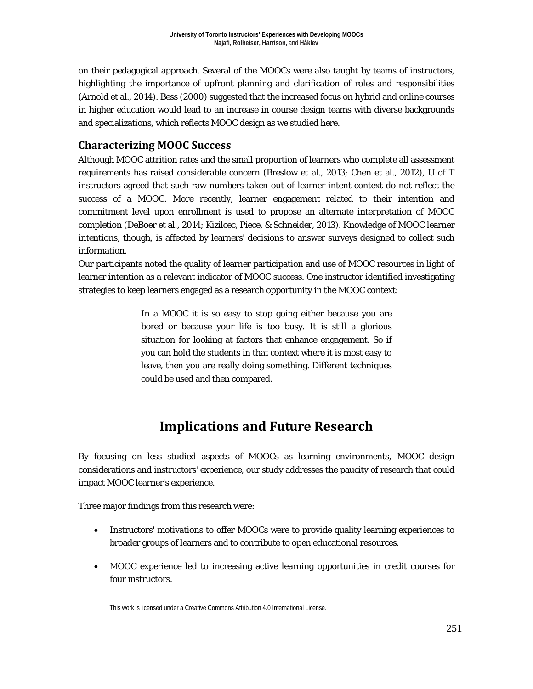on their pedagogical approach. Several of the MOOCs were also taught by teams of instructors, highlighting the importance of upfront planning and clarification of roles and responsibilities (Arnold et al., 2014). Bess (2000) suggested that the increased focus on hybrid and online courses in higher education would lead to an increase in course design teams with diverse backgrounds and specializations, which reflects MOOC design as we studied here.

## **Characterizing MOOC Success**

Although MOOC attrition rates and the small proportion of learners who complete all assessment requirements has raised considerable concern (Breslow et al., 2013; Chen et al., 2012), U of T instructors agreed that such raw numbers taken out of learner intent context do not reflect the success of a MOOC. More recently, learner engagement related to their intention and commitment level upon enrollment is used to propose an alternate interpretation of MOOC completion (DeBoer et al., 2014; Kizilcec, Piece, & Schneider, 2013). Knowledge of MOOC learner intentions, though, is affected by learners' decisions to answer surveys designed to collect such information.

Our participants noted the quality of learner participation and use of MOOC resources in light of learner intention as a relevant indicator of MOOC success. One instructor identified investigating strategies to keep learners engaged as a research opportunity in the MOOC context:

> In a MOOC it is so easy to stop going either because you are bored or because your life is too busy. It is still a glorious situation for looking at factors that enhance engagement. So if you can hold the students in that context where it is most easy to leave, then you are really doing something. Different techniques could be used and then compared.

## **Implications and Future Research**

By focusing on less studied aspects of MOOCs as learning environments, MOOC design considerations and instructors' experience, our study addresses the paucity of research that could impact MOOC learner's experience.

Three major findings from this research were:

- Instructors' motivations to offer MOOCs were to provide quality learning experiences to broader groups of learners and to contribute to open educational resources.
- MOOC experience led to increasing active learning opportunities in credit courses for four instructors.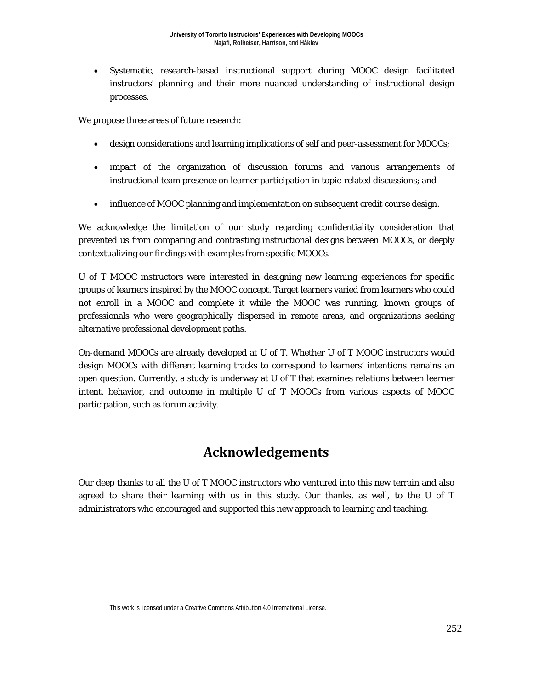• Systematic, research-based instructional support during MOOC design facilitated instructors' planning and their more nuanced understanding of instructional design processes.

We propose three areas of future research:

- design considerations and learning implications of self and peer-assessment for MOOCs;
- impact of the organization of discussion forums and various arrangements of instructional team presence on learner participation in topic-related discussions; and
- influence of MOOC planning and implementation on subsequent credit course design.

We acknowledge the limitation of our study regarding confidentiality consideration that prevented us from comparing and contrasting instructional designs between MOOCs, or deeply contextualizing our findings with examples from specific MOOCs.

U of T MOOC instructors were interested in designing new learning experiences for specific groups of learners inspired by the MOOC concept. Target learners varied from learners who could not enroll in a MOOC and complete it while the MOOC was running, known groups of professionals who were geographically dispersed in remote areas, and organizations seeking alternative professional development paths.

On-demand MOOCs are already developed at U of T. Whether U of T MOOC instructors would design MOOCs with different learning tracks to correspond to learners' intentions remains an open question. Currently, a study is underway at U of T that examines relations between learner intent, behavior, and outcome in multiple U of T MOOCs from various aspects of MOOC participation, such as forum activity.

## **Acknowledgements**

Our deep thanks to all the U of T MOOC instructors who ventured into this new terrain and also agreed to share their learning with us in this study. Our thanks, as well, to the U of T administrators who encouraged and supported this new approach to learning and teaching.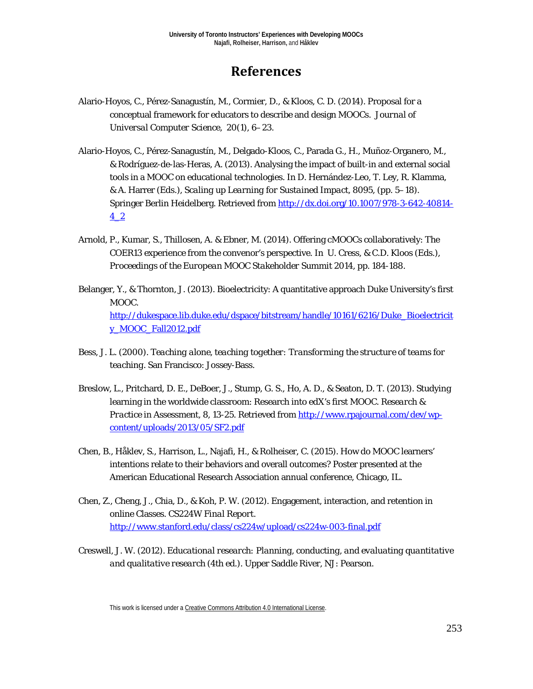## **References**

- Alario-Hoyos, C., Pérez-Sanagustín, M., Cormier, D., & Kloos, C. D. (2014). Proposal for a conceptual framework for educators to describe and design MOOCs. *Journal of Universal Computer Science, 20*(1), 6–23.
- Alario-Hoyos, C., Pérez-Sanagustín, M., Delgado-Kloos, C., Parada G., H., Muñoz-Organero, M., & Rodríguez-de-las-Heras, A. (2013). Analysing the impact of built-in and external social tools in a MOOC on educational technologies. In D. Hernández-Leo, T. Ley, R. Klamma, & A. Harrer (Eds.), *Scaling up Learning for Sustained Impact, 8095*, (pp. 5–18). Springer Berlin Heidelberg. Retrieved from [http://dx.doi.org/10.1007/978-3-642-40814-](http://dx.doi.org/10.1007/978-3-642-40814-4_2) [4\\_2](http://dx.doi.org/10.1007/978-3-642-40814-4_2)
- Arnold, P., Kumar, S., Thillosen, A. & Ebner, M. (2014). Offering cMOOCs collaboratively: The COER13 experience from the convenor's perspective. In U. Cress, & C.D. Kloos (Eds.), *Proceedings of the European MOOC Stakeholder Summit 2014*, pp. 184-188.
- Belanger, Y., & Thornton, J. (2013). Bioelectricity: A quantitative approach Duke University's first MOOC. [http://dukespace.lib.duke.edu/dspace/bitstream/handle/10161/6216/Duke\\_Bioelectricit](http://dukespace.lib.duke.edu/dspace/bitstream/handle/10161/6216/Duke_Bioelectricity_MOOC_Fall2012.pdf) [y\\_MOOC\\_Fall2012.pdf](http://dukespace.lib.duke.edu/dspace/bitstream/handle/10161/6216/Duke_Bioelectricity_MOOC_Fall2012.pdf)
- Bess, J. L. (2000). *Teaching alone, teaching together: Transforming the structure of teams for teaching*. San Francisco: Jossey-Bass.
- Breslow, L., Pritchard, D. E., DeBoer, J., Stump, G. S., Ho, A. D., & Seaton, D. T. (2013). Studying learning in the worldwide classroom: Research into edX's first MOOC. *Research & Practice in Assessment, 8*, 13-25. Retrieved fro[m http://www.rpajournal.com/dev/wp](http://www.rpajournal.com/dev/wp-content/uploads/2013/05/SF2.pdf)[content/uploads/2013/05/SF2.pdf](http://www.rpajournal.com/dev/wp-content/uploads/2013/05/SF2.pdf)
- Chen, B., Håklev, S., Harrison, L., Najafi, H., & Rolheiser, C. (2015). How do MOOC learners' intentions relate to their behaviors and overall outcomes? Poster presented at the American Educational Research Association annual conference, Chicago, IL.
- Chen, Z., Cheng, J., Chia, D., & Koh, P. W. (2012). Engagement, interaction, and retention in online Classes. *CS224W Final Report.* <http://www.stanford.edu/class/cs224w/upload/cs224w-003-final.pdf>
- Creswell, J. W. (2012). *Educational research: Planning, conducting, and evaluating quantitative and qualitative research* (4th ed.). Upper Saddle River, NJ: Pearson.

This work is licensed under [a Creative Commons Attribution 4.0 International License.](http://creativecommons.org/licenses/by/4.0/)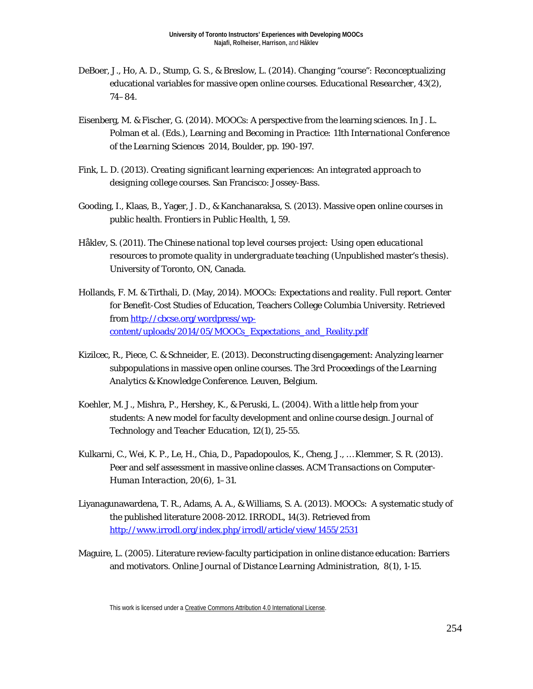- DeBoer, J., Ho, A. D., Stump, G. S., & Breslow, L. (2014). Changing "course": Reconceptualizing educational variables for massive open online courses. *Educational Researcher, 43*(2), 74–84.
- Eisenberg, M. & Fischer, G. (2014). MOOCs: A perspective from the learning sciences. In J. L. Polman et al. (Eds.), *Learning and Becoming in Practice: 11th International Conference of the Learning Sciences* 2014, Boulder, pp. 190-197.
- Fink, L. D. (2013). *Creating significant learning experiences: An integrated approach to designing college courses.* San Francisco: Jossey-Bass.
- Gooding, I., Klaas, B., Yager, J. D., & Kanchanaraksa, S. (2013). Massive open online courses in public health. *Frontiers in Public Health, 1*, 59.
- Håklev, S. (2011). *The Chinese national top level courses project: Using open educational resources to promote quality in undergraduate teaching (Unpublished master's thesis).* University of Toronto, ON, Canada.
- Hollands, F. M. & Tirthali, D. (May, 2014). *MOOCs: Expectations and reality.* Full report. Center for Benefit-Cost Studies of Education, Teachers College Columbia University. Retrieved from [http://cbcse.org/wordpress/wp](http://cbcse.org/wordpress/wp-content/uploads/2014/05/MOOCs_Expectations_and_Reality.pdf)[content/uploads/2014/05/MOOCs\\_Expectations\\_and\\_Reality.pdf](http://cbcse.org/wordpress/wp-content/uploads/2014/05/MOOCs_Expectations_and_Reality.pdf)
- Kizilcec, R., Piece, C. & Schneider, E. (2013). Deconstructing disengagement: Analyzing learner subpopulations in massive open online courses. *The 3rd Proceedings of the Learning Analytics & Knowledge Conference*. Leuven, Belgium.
- Koehler, M. J., Mishra, P., Hershey, K., & Peruski, L. (2004). With a little help from your students: A new model for faculty development and online course design. *Journal of Technology and Teacher Education, 12*(1), 25-55.
- Kulkarni, C., Wei, K. P., Le, H., Chia, D., Papadopoulos, K., Cheng, J., … Klemmer, S. R. (2013). Peer and self assessment in massive online classes. *ACM Transactions on Computer-Human Interaction, 20*(6), 1–31.
- Liyanagunawardena, T. R., Adams, A. A., & Williams, S. A. (2013). MOOCs: A systematic study of the published literature 2008-2012. *IRRODL, 14*(3). Retrieved from <http://www.irrodl.org/index.php/irrodl/article/view/1455/2531>
- Maguire, L. (2005). Literature review-faculty participation in online distance education: Barriers and motivators. *Online Journal of Distance Learning Administration, 8*(1), 1-15.

This work is licensed under [a Creative Commons Attribution 4.0 International License.](http://creativecommons.org/licenses/by/4.0/)